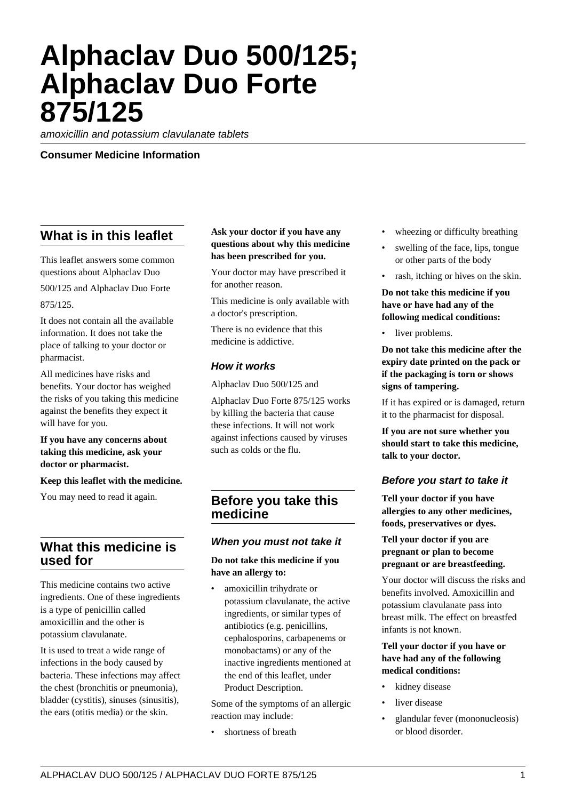# **Alphaclav Duo 500/125; Alphaclav Duo Forte 875/125**

amoxicillin and potassium clavulanate tablets

#### **Consumer Medicine Information**

# **What is in this leaflet**

This leaflet answers some common questions about Alphaclav Duo 500/125 and Alphaclav Duo Forte 875/125.

It does not contain all the available information. It does not take the place of talking to your doctor or pharmacist.

All medicines have risks and benefits. Your doctor has weighed the risks of you taking this medicine against the benefits they expect it will have for you.

#### **If you have any concerns about taking this medicine, ask your doctor or pharmacist.**

#### **Keep this leaflet with the medicine.**

You may need to read it again.

## **What this medicine is used for**

This medicine contains two active ingredients. One of these ingredients is a type of penicillin called amoxicillin and the other is potassium clavulanate.

It is used to treat a wide range of infections in the body caused by bacteria. These infections may affect the chest (bronchitis or pneumonia), bladder (cystitis), sinuses (sinusitis), the ears (otitis media) or the skin.

#### **Ask your doctor if you have any questions about why this medicine has been prescribed for you.**

Your doctor may have prescribed it for another reason.

This medicine is only available with a doctor's prescription.

There is no evidence that this medicine is addictive.

#### **How it works**

Alphaclav Duo 500/125 and

Alphaclav Duo Forte 875/125 works by killing the bacteria that cause these infections. It will not work against infections caused by viruses such as colds or the flu.

## **Before you take this medicine**

#### **When you must not take it**

#### **Do not take this medicine if you have an allergy to:**

amoxicillin trihydrate or potassium clavulanate, the active ingredients, or similar types of antibiotics (e.g. penicillins, cephalosporins, carbapenems or monobactams) or any of the inactive ingredients mentioned at the end of this leaflet, under Product Description.

Some of the symptoms of an allergic reaction may include:

• shortness of breath

- wheezing or difficulty breathing
- swelling of the face, lips, tongue or other parts of the body
- rash, itching or hives on the skin.

**Do not take this medicine if you have or have had any of the following medical conditions:**

liver problems.

**Do not take this medicine after the expiry date printed on the pack or if the packaging is torn or shows signs of tampering.**

If it has expired or is damaged, return it to the pharmacist for disposal.

**If you are not sure whether you should start to take this medicine, talk to your doctor.**

#### **Before you start to take it**

**Tell your doctor if you have allergies to any other medicines, foods, preservatives or dyes.**

**Tell your doctor if you are pregnant or plan to become pregnant or are breastfeeding.**

Your doctor will discuss the risks and benefits involved. Amoxicillin and potassium clavulanate pass into breast milk. The effect on breastfed infants is not known.

#### **Tell your doctor if you have or have had any of the following medical conditions:**

- kidney disease
- liver disease
- glandular fever (mononucleosis) or blood disorder.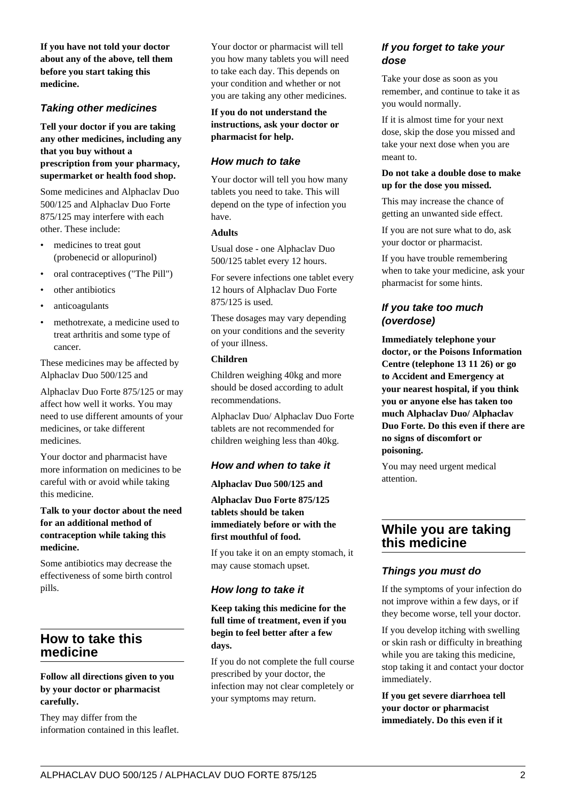**If you have not told your doctor about any of the above, tell them before you start taking this medicine.**

#### **Taking other medicines**

**Tell your doctor if you are taking any other medicines, including any that you buy without a prescription from your pharmacy, supermarket or health food shop.**

Some medicines and Alphaclav Duo 500/125 and Alphaclav Duo Forte 875/125 may interfere with each other. These include:

- medicines to treat gout (probenecid or allopurinol)
- oral contraceptives ("The Pill")
- other antibiotics
- anticoagulants
- methotrexate, a medicine used to treat arthritis and some type of cancer.

These medicines may be affected by Alphaclav Duo 500/125 and

Alphaclav Duo Forte 875/125 or may affect how well it works. You may need to use different amounts of your medicines, or take different medicines.

Your doctor and pharmacist have more information on medicines to be careful with or avoid while taking this medicine.

#### **Talk to your doctor about the need for an additional method of contraception while taking this medicine.**

Some antibiotics may decrease the effectiveness of some birth control pills.

## **How to take this medicine**

#### **Follow all directions given to you by your doctor or pharmacist carefully.**

They may differ from the information contained in this leaflet. Your doctor or pharmacist will tell you how many tablets you will need to take each day. This depends on your condition and whether or not you are taking any other medicines.

#### **If you do not understand the instructions, ask your doctor or pharmacist for help.**

## **How much to take**

Your doctor will tell you how many tablets you need to take. This will depend on the type of infection you have.

#### **Adults**

Usual dose - one Alphaclav Duo 500/125 tablet every 12 hours.

For severe infections one tablet every 12 hours of Alphaclav Duo Forte 875/125 is used.

These dosages may vary depending on your conditions and the severity of your illness.

#### **Children**

Children weighing 40kg and more should be dosed according to adult recommendations.

Alphaclav Duo/ Alphaclav Duo Forte tablets are not recommended for children weighing less than 40kg.

#### **How and when to take it**

#### **Alphaclav Duo 500/125 and**

**Alphaclav Duo Forte 875/125 tablets should be taken immediately before or with the first mouthful of food.**

If you take it on an empty stomach, it may cause stomach upset.

## **How long to take it**

**Keep taking this medicine for the full time of treatment, even if you begin to feel better after a few days.**

If you do not complete the full course prescribed by your doctor, the infection may not clear completely or your symptoms may return.

## **If you forget to take your dose**

Take your dose as soon as you remember, and continue to take it as you would normally.

If it is almost time for your next dose, skip the dose you missed and take your next dose when you are meant to.

#### **Do not take a double dose to make up for the dose you missed.**

This may increase the chance of getting an unwanted side effect.

If you are not sure what to do, ask your doctor or pharmacist.

If you have trouble remembering when to take your medicine, ask your pharmacist for some hints.

## **If you take too much (overdose)**

**Immediately telephone your doctor, or the Poisons Information Centre (telephone 13 11 26) or go to Accident and Emergency at your nearest hospital, if you think you or anyone else has taken too much Alphaclav Duo/ Alphaclav Duo Forte. Do this even if there are no signs of discomfort or poisoning.**

You may need urgent medical attention.

## **While you are taking this medicine**

#### **Things you must do**

If the symptoms of your infection do not improve within a few days, or if they become worse, tell your doctor.

If you develop itching with swelling or skin rash or difficulty in breathing while you are taking this medicine, stop taking it and contact your doctor immediately.

**If you get severe diarrhoea tell your doctor or pharmacist immediately. Do this even if it**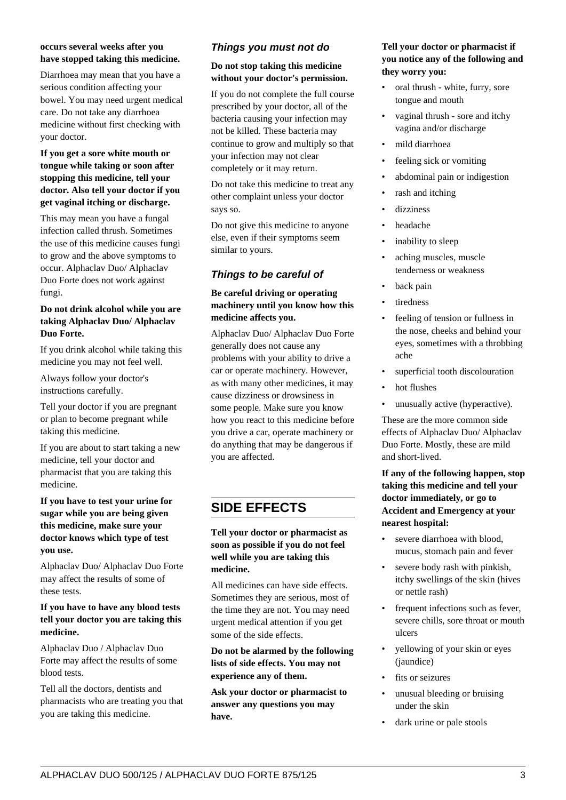#### **occurs several weeks after you have stopped taking this medicine.**

Diarrhoea may mean that you have a serious condition affecting your bowel. You may need urgent medical care. Do not take any diarrhoea medicine without first checking with your doctor.

#### **If you get a sore white mouth or tongue while taking or soon after stopping this medicine, tell your doctor. Also tell your doctor if you get vaginal itching or discharge.**

This may mean you have a fungal infection called thrush. Sometimes the use of this medicine causes fungi to grow and the above symptoms to occur. Alphaclav Duo/ Alphaclav Duo Forte does not work against fungi.

#### **Do not drink alcohol while you are taking Alphaclav Duo/ Alphaclav Duo Forte.**

If you drink alcohol while taking this medicine you may not feel well.

Always follow your doctor's instructions carefully.

Tell your doctor if you are pregnant or plan to become pregnant while taking this medicine.

If you are about to start taking a new medicine, tell your doctor and pharmacist that you are taking this medicine.

#### **If you have to test your urine for sugar while you are being given this medicine, make sure your doctor knows which type of test you use.**

Alphaclav Duo/ Alphaclav Duo Forte may affect the results of some of these tests.

#### **If you have to have any blood tests tell your doctor you are taking this medicine.**

Alphaclav Duo / Alphaclav Duo Forte may affect the results of some blood tests.

Tell all the doctors, dentists and pharmacists who are treating you that you are taking this medicine.

## **Things you must not do**

#### **Do not stop taking this medicine without your doctor's permission.**

If you do not complete the full course prescribed by your doctor, all of the bacteria causing your infection may not be killed. These bacteria may continue to grow and multiply so that your infection may not clear completely or it may return.

Do not take this medicine to treat any other complaint unless your doctor says so.

Do not give this medicine to anyone else, even if their symptoms seem similar to yours.

## **Things to be careful of**

#### **Be careful driving or operating machinery until you know how this medicine affects you.**

Alphaclav Duo/ Alphaclav Duo Forte generally does not cause any problems with your ability to drive a car or operate machinery. However, as with many other medicines, it may cause dizziness or drowsiness in some people. Make sure you know how you react to this medicine before you drive a car, operate machinery or do anything that may be dangerous if you are affected.

# **SIDE EFFECTS**

**Tell your doctor or pharmacist as soon as possible if you do not feel well while you are taking this medicine.**

All medicines can have side effects. Sometimes they are serious, most of the time they are not. You may need urgent medical attention if you get some of the side effects.

**Do not be alarmed by the following lists of side effects. You may not experience any of them.**

**Ask your doctor or pharmacist to answer any questions you may have.**

#### **Tell your doctor or pharmacist if you notice any of the following and they worry you:**

- oral thrush white, furry, sore tongue and mouth
- vaginal thrush sore and itchy vagina and/or discharge
- mild diarrhoea
- feeling sick or vomiting
- abdominal pain or indigestion
- rash and itching
- dizziness
- headache
- inability to sleep
- aching muscles, muscle tenderness or weakness
- back pain
- tiredness
- feeling of tension or fullness in the nose, cheeks and behind your eyes, sometimes with a throbbing ache
- superficial tooth discolouration
- hot flushes
- unusually active (hyperactive).

These are the more common side effects of Alphaclav Duo/ Alphaclav Duo Forte. Mostly, these are mild and short-lived.

**If any of the following happen, stop taking this medicine and tell your doctor immediately, or go to Accident and Emergency at your nearest hospital:**

- severe diarrhoea with blood. mucus, stomach pain and fever
- severe body rash with pinkish, itchy swellings of the skin (hives or nettle rash)
- frequent infections such as fever, severe chills, sore throat or mouth ulcers
- yellowing of your skin or eyes (jaundice)
- fits or seizures
- unusual bleeding or bruising under the skin
- dark urine or pale stools